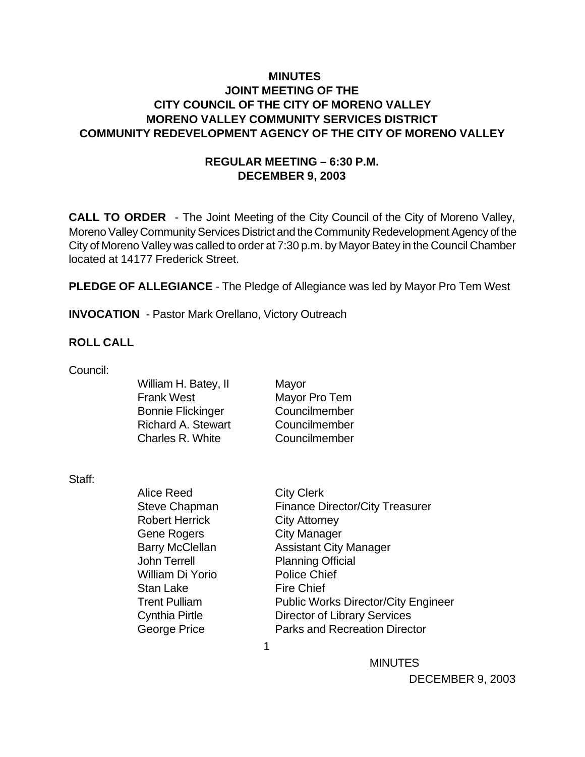# **MINUTES JOINT MEETING OF THE CITY COUNCIL OF THE CITY OF MORENO VALLEY MORENO VALLEY COMMUNITY SERVICES DISTRICT COMMUNITY REDEVELOPMENT AGENCY OF THE CITY OF MORENO VALLEY**

# **REGULAR MEETING – 6:30 P.M. DECEMBER 9, 2003**

**CALL TO ORDER** - The Joint Meeting of the City Council of the City of Moreno Valley, Moreno Valley Community Services District and the Community Redevelopment Agency of the City of Moreno Valley was called to order at 7:30 p.m. by Mayor Batey in the Council Chamber located at 14177 Frederick Street.

**PLEDGE OF ALLEGIANCE** - The Pledge of Allegiance was led by Mayor Pro Tem West

**INVOCATION** - Pastor Mark Orellano, Victory Outreach

# **ROLL CALL**

| Council: |                                                                                                                        |                                                                           |
|----------|------------------------------------------------------------------------------------------------------------------------|---------------------------------------------------------------------------|
|          | William H. Batey, II<br><b>Frank West</b><br><b>Bonnie Flickinger</b><br><b>Richard A. Stewart</b><br>Charles R. White | Mayor<br>Mayor Pro Tem<br>Councilmember<br>Councilmember<br>Councilmember |
| Staff:   |                                                                                                                        |                                                                           |
|          | Alice Reed                                                                                                             | <b>City Clerk</b>                                                         |
|          | Steve Chapman                                                                                                          | <b>Finance Director/City Treasurer</b>                                    |
|          | <b>Robert Herrick</b>                                                                                                  | <b>City Attorney</b>                                                      |
|          | Gene Rogers                                                                                                            | <b>City Manager</b>                                                       |
|          | <b>Barry McClellan</b>                                                                                                 | <b>Assistant City Manager</b>                                             |
|          | <b>John Terrell</b>                                                                                                    | <b>Planning Official</b>                                                  |
|          | William Di Yorio                                                                                                       | <b>Police Chief</b>                                                       |
|          | Stan Lake                                                                                                              | <b>Fire Chief</b>                                                         |
|          | <b>Trent Pulliam</b>                                                                                                   | <b>Public Works Director/City Engineer</b>                                |
|          | <b>Cynthia Pirtle</b>                                                                                                  | Director of Library Services                                              |
|          | George Price                                                                                                           | <b>Parks and Recreation Director</b>                                      |
|          |                                                                                                                        | 1                                                                         |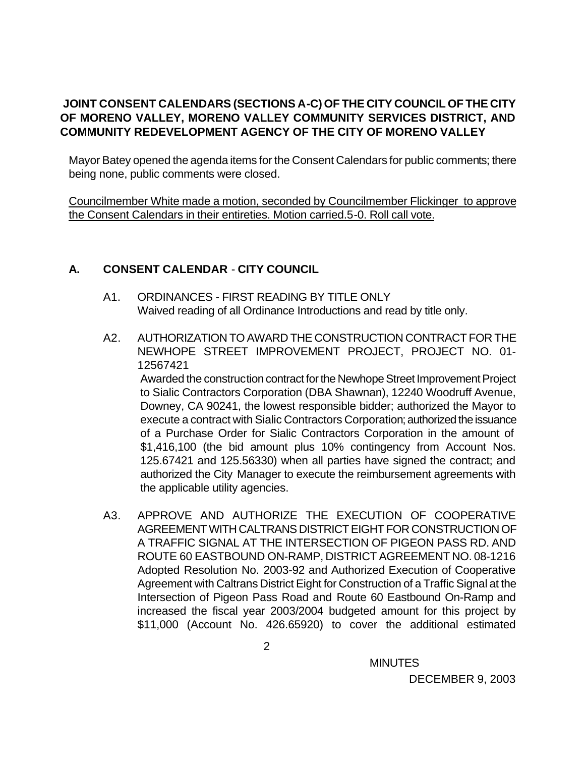# **JOINT CONSENT CALENDARS (SECTIONS A-C) OF THE CITY COUNCIL OF THE CITY OF MORENO VALLEY, MORENO VALLEY COMMUNITY SERVICES DISTRICT, AND COMMUNITY REDEVELOPMENT AGENCY OF THE CITY OF MORENO VALLEY**

Mayor Batey opened the agenda items for the Consent Calendars for public comments; there being none, public comments were closed.

Councilmember White made a motion, seconded by Councilmember Flickinger to approve the Consent Calendars in their entireties. Motion carried.5-0. Roll call vote.

# **A. CONSENT CALENDAR** - **CITY COUNCIL**

- A1. ORDINANCES FIRST READING BY TITLE ONLY Waived reading of all Ordinance Introductions and read by title only.
- A2. AUTHORIZATION TO AWARD THE CONSTRUCTION CONTRACT FOR THE NEWHOPE STREET IMPROVEMENT PROJECT, PROJECT NO. 01- 12567421

Awarded the construction contract for the Newhope Street Improvement Project to Sialic Contractors Corporation (DBA Shawnan), 12240 Woodruff Avenue, Downey, CA 90241, the lowest responsible bidder; authorized the Mayor to execute a contract with Sialic Contractors Corporation; authorized the issuance of a Purchase Order for Sialic Contractors Corporation in the amount of \$1,416,100 (the bid amount plus 10% contingency from Account Nos. 125.67421 and 125.56330) when all parties have signed the contract; and authorized the City Manager to execute the reimbursement agreements with the applicable utility agencies.

A3. APPROVE AND AUTHORIZE THE EXECUTION OF COOPERATIVE AGREEMENT WITH CALTRANS DISTRICT EIGHT FOR CONSTRUCTION OF A TRAFFIC SIGNAL AT THE INTERSECTION OF PIGEON PASS RD. AND ROUTE 60 EASTBOUND ON-RAMP, DISTRICT AGREEMENT NO. 08-1216 Adopted Resolution No. 2003-92 and Authorized Execution of Cooperative Agreement with Caltrans District Eight for Construction of a Traffic Signal at the Intersection of Pigeon Pass Road and Route 60 Eastbound On-Ramp and increased the fiscal year 2003/2004 budgeted amount for this project by \$11,000 (Account No. 426.65920) to cover the additional estimated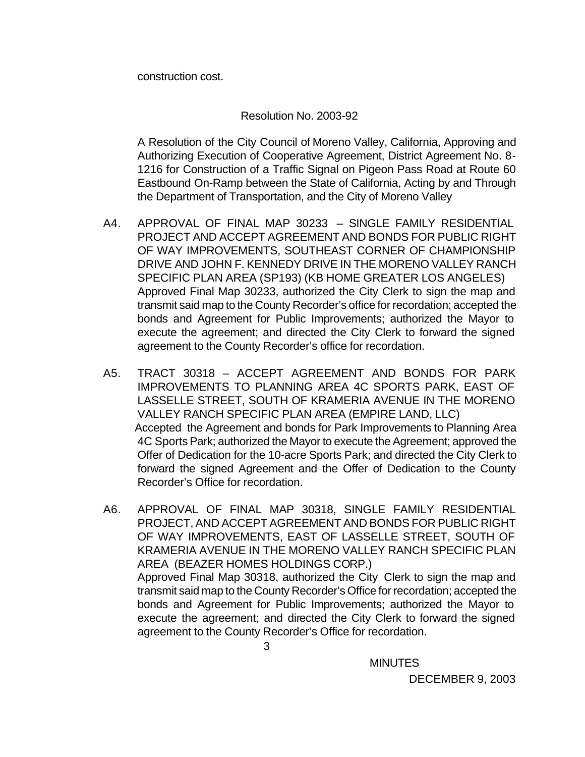construction cost.

# Resolution No. 2003-92

A Resolution of the City Council of Moreno Valley, California, Approving and Authorizing Execution of Cooperative Agreement, District Agreement No. 8- 1216 for Construction of a Traffic Signal on Pigeon Pass Road at Route 60 Eastbound On-Ramp between the State of California, Acting by and Through the Department of Transportation, and the City of Moreno Valley

- A4. APPROVAL OF FINAL MAP 30233 SINGLE FAMILY RESIDENTIAL PROJECT AND ACCEPT AGREEMENT AND BONDS FOR PUBLIC RIGHT OF WAY IMPROVEMENTS, SOUTHEAST CORNER OF CHAMPIONSHIP DRIVE AND JOHN F. KENNEDY DRIVE IN THE MORENO VALLEY RANCH SPECIFIC PLAN AREA (SP193) (KB HOME GREATER LOS ANGELES) Approved Final Map 30233, authorized the City Clerk to sign the map and transmit said map to the County Recorder's office for recordation; accepted the bonds and Agreement for Public Improvements; authorized the Mayor to execute the agreement; and directed the City Clerk to forward the signed agreement to the County Recorder's office for recordation.
- A5. TRACT 30318 ACCEPT AGREEMENT AND BONDS FOR PARK IMPROVEMENTS TO PLANNING AREA 4C SPORTS PARK, EAST OF LASSELLE STREET, SOUTH OF KRAMERIA AVENUE IN THE MORENO VALLEY RANCH SPECIFIC PLAN AREA (EMPIRE LAND, LLC) Accepted the Agreement and bonds for Park Improvements to Planning Area 4C Sports Park; authorized the Mayor to execute the Agreement; approved the Offer of Dedication for the 10-acre Sports Park; and directed the City Clerk to forward the signed Agreement and the Offer of Dedication to the County Recorder's Office for recordation.
- A6. APPROVAL OF FINAL MAP 30318, SINGLE FAMILY RESIDENTIAL PROJECT, AND ACCEPT AGREEMENT AND BONDS FOR PUBLIC RIGHT OF WAY IMPROVEMENTS, EAST OF LASSELLE STREET, SOUTH OF KRAMERIA AVENUE IN THE MORENO VALLEY RANCH SPECIFIC PLAN AREA (BEAZER HOMES HOLDINGS CORP.) Approved Final Map 30318, authorized the City Clerk to sign the map and transmit said map to the County Recorder's Office for recordation; accepted the bonds and Agreement for Public Improvements; authorized the Mayor to execute the agreement; and directed the City Clerk to forward the signed agreement to the County Recorder's Office for recordation.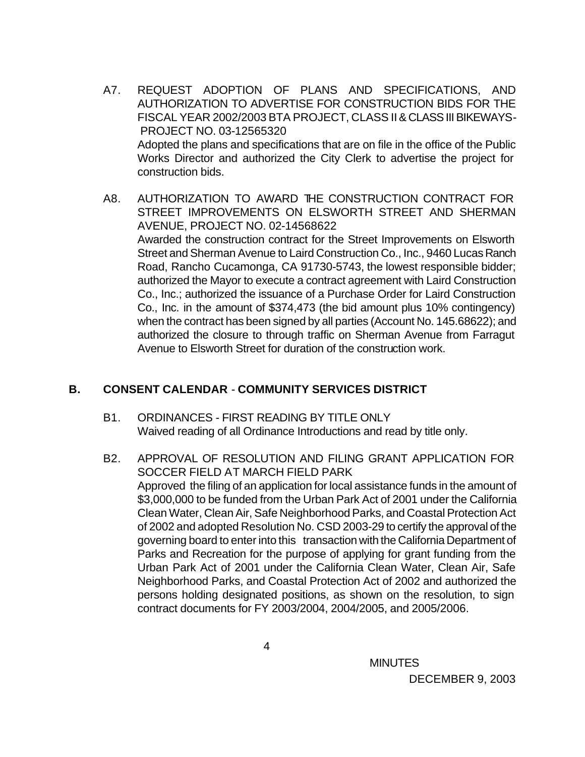- A7. REQUEST ADOPTION OF PLANS AND SPECIFICATIONS, AND AUTHORIZATION TO ADVERTISE FOR CONSTRUCTION BIDS FOR THE FISCAL YEAR 2002/2003 BTA PROJECT, CLASS II & CLASS III BIKEWAYS - PROJECT NO. 03-12565320 Adopted the plans and specifications that are on file in the office of the Public Works Director and authorized the City Clerk to advertise the project for construction bids.
- A8. AUTHORIZATION TO AWARD THE CONSTRUCTION CONTRACT FOR STREET IMPROVEMENTS ON ELSWORTH STREET AND SHERMAN AVENUE, PROJECT NO. 02-14568622 Awarded the construction contract for the Street Improvements on Elsworth Street and Sherman Avenue to Laird Construction Co., Inc., 9460 Lucas Ranch Road, Rancho Cucamonga, CA 91730-5743, the lowest responsible bidder; authorized the Mayor to execute a contract agreement with Laird Construction Co., Inc.; authorized the issuance of a Purchase Order for Laird Construction Co., Inc. in the amount of \$374,473 (the bid amount plus 10% contingency) when the contract has been signed by all parties (Account No. 145.68622); and authorized the closure to through traffic on Sherman Avenue from Farragut Avenue to Elsworth Street for duration of the construction work.

# **B. CONSENT CALENDAR** - **COMMUNITY SERVICES DISTRICT**

- B1. ORDINANCES FIRST READING BY TITLE ONLY Waived reading of all Ordinance Introductions and read by title only.
- B2. APPROVAL OF RESOLUTION AND FILING GRANT APPLICATION FOR SOCCER FIELD AT MARCH FIELD PARK Approved the filing of an application for local assistance funds in the amount of \$3,000,000 to be funded from the Urban Park Act of 2001 under the California Clean Water, Clean Air, Safe Neighborhood Parks, and Coastal Protection Act of 2002 and adopted Resolution No. CSD 2003-29 to certify the approval of the governing board to enter into this transaction with the California Department of Parks and Recreation for the purpose of applying for grant funding from the Urban Park Act of 2001 under the California Clean Water, Clean Air, Safe Neighborhood Parks, and Coastal Protection Act of 2002 and authorized the persons holding designated positions, as shown on the resolution, to sign contract documents for FY 2003/2004, 2004/2005, and 2005/2006.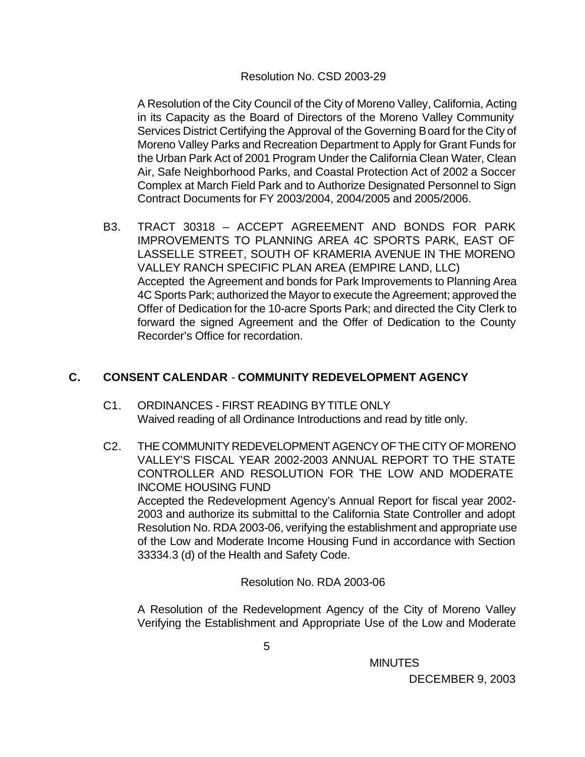## Resolution No. CSD 2003-29

A Resolution of the City Council of the City of Moreno Valley, California, Acting in its Capacity as the Board of Directors of the Moreno Valley Community Services District Certifying the Approval of the Governing Board for the City of Moreno Valley Parks and Recreation Department to Apply for Grant Funds for the Urban Park Act of 2001 Program Under the California Clean Water, Clean Air, Safe Neighborhood Parks, and Coastal Protection Act of 2002 a Soccer Complex at March Field Park and to Authorize Designated Personnel to Sign Contract Documents for FY 2003/2004, 2004/2005 and 2005/2006.

B3. TRACT 30318 – ACCEPT AGREEMENT AND BONDS FOR PARK IMPROVEMENTS TO PLANNING AREA 4C SPORTS PARK, EAST OF LASSELLE STREET, SOUTH OF KRAMERIA AVENUE IN THE MORENO VALLEY RANCH SPECIFIC PLAN AREA (EMPIRE LAND, LLC) Accepted the Agreement and bonds for Park Improvements to Planning Area 4C Sports Park; authorized the Mayor to execute the Agreement; approved the Offer of Dedication for the 10-acre Sports Park; and directed the City Clerk to forward the signed Agreement and the Offer of Dedication to the County Recorder's Office for recordation.

# **C. CONSENT CALENDAR** - **COMMUNITY REDEVELOPMENT AGENCY**

- C1. ORDINANCES FIRST READING BY TITLE ONLY Waived reading of all Ordinance Introductions and read by title only.
- C2. THE COMMUNITY REDEVELOPMENT AGENCY OF THE CITY OF MORENO VALLEY'S FISCAL YEAR 2002-2003 ANNUAL REPORT TO THE STATE CONTROLLER AND RESOLUTION FOR THE LOW AND MODERATE INCOME HOUSING FUND Accepted the Redevelopment Agency's Annual Report for fiscal year 2002- 2003 and authorize its submittal to the California State Controller and adopt Resolution No. RDA 2003-06, verifying the establishment and appropriate use of the Low and Moderate Income Housing Fund in accordance with Section 33334.3 (d) of the Health and Safety Code.

Resolution No. RDA 2003-06

A Resolution of the Redevelopment Agency of the City of Moreno Valley Verifying the Establishment and Appropriate Use of the Low and Moderate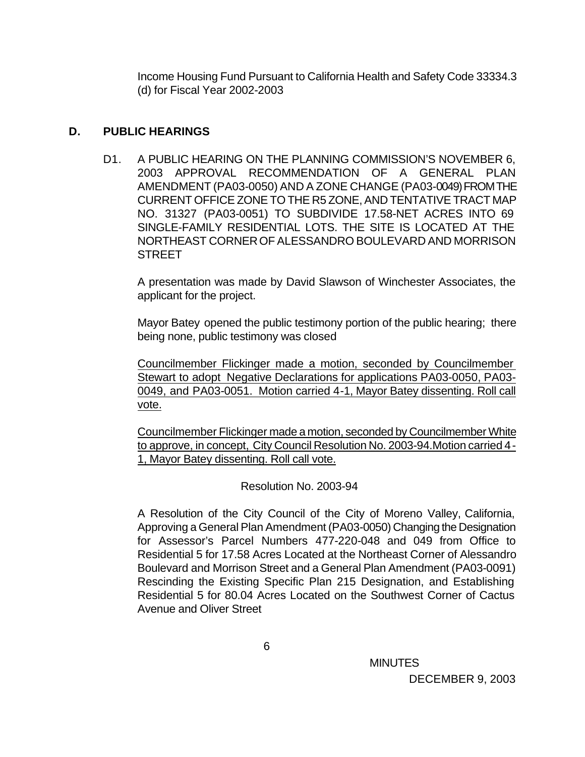Income Housing Fund Pursuant to California Health and Safety Code 33334.3 (d) for Fiscal Year 2002-2003

### **D. PUBLIC HEARINGS**

D1. A PUBLIC HEARING ON THE PLANNING COMMISSION'S NOVEMBER 6, 2003 APPROVAL RECOMMENDATION OF A GENERAL PLAN AMENDMENT (PA03-0050) AND A ZONE CHANGE (PA03-0049) FROM THE CURRENT OFFICE ZONE TO THE R5 ZONE, AND TENTATIVE TRACT MAP NO. 31327 (PA03-0051) TO SUBDIVIDE 17.58-NET ACRES INTO 69 SINGLE-FAMILY RESIDENTIAL LOTS. THE SITE IS LOCATED AT THE NORTHEAST CORNER OF ALESSANDRO BOULEVARD AND MORRISON **STREET** 

A presentation was made by David Slawson of Winchester Associates, the applicant for the project.

Mayor Batey opened the public testimony portion of the public hearing; there being none, public testimony was closed

Councilmember Flickinger made a motion, seconded by Councilmember Stewart to adopt Negative Declarations for applications PA03-0050, PA03- 0049, and PA03-0051. Motion carried 4-1, Mayor Batey dissenting. Roll call vote.

Councilmember Flickinger made a motion, seconded by Councilmember White to approve, in concept, City Council Resolution No. 2003-94.Motion carried 4- 1, Mayor Batey dissenting. Roll call vote.

Resolution No. 2003-94

A Resolution of the City Council of the City of Moreno Valley, California, Approving a General Plan Amendment (PA03-0050) Changing the Designation for Assessor's Parcel Numbers 477-220-048 and 049 from Office to Residential 5 for 17.58 Acres Located at the Northeast Corner of Alessandro Boulevard and Morrison Street and a General Plan Amendment (PA03-0091) Rescinding the Existing Specific Plan 215 Designation, and Establishing Residential 5 for 80.04 Acres Located on the Southwest Corner of Cactus Avenue and Oliver Street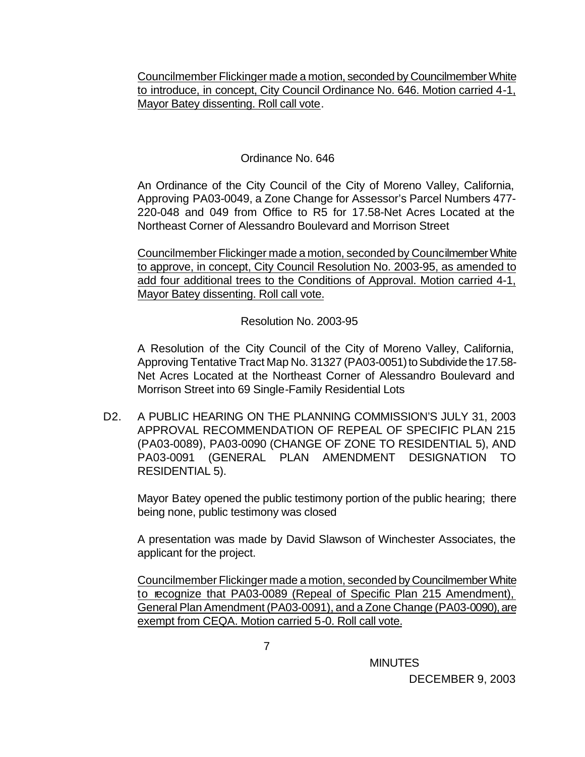Councilmember Flickinger made a motion, seconded by Councilmember White to introduce, in concept, City Council Ordinance No. 646. Motion carried 4-1, Mayor Batey dissenting. Roll call vote.

### Ordinance No. 646

An Ordinance of the City Council of the City of Moreno Valley, California, Approving PA03-0049, a Zone Change for Assessor's Parcel Numbers 477- 220-048 and 049 from Office to R5 for 17.58-Net Acres Located at the Northeast Corner of Alessandro Boulevard and Morrison Street

Councilmember Flickinger made a motion, seconded by Councilmember White to approve, in concept, City Council Resolution No. 2003-95, as amended to add four additional trees to the Conditions of Approval. Motion carried 4-1, Mayor Batey dissenting. Roll call vote.

Resolution No. 2003-95

A Resolution of the City Council of the City of Moreno Valley, California, Approving Tentative Tract Map No. 31327 (PA03-0051) to Subdivide the 17.58- Net Acres Located at the Northeast Corner of Alessandro Boulevard and Morrison Street into 69 Single-Family Residential Lots

D2. A PUBLIC HEARING ON THE PLANNING COMMISSION'S JULY 31, 2003 APPROVAL RECOMMENDATION OF REPEAL OF SPECIFIC PLAN 215 (PA03-0089), PA03-0090 (CHANGE OF ZONE TO RESIDENTIAL 5), AND PA03-0091 (GENERAL PLAN AMENDMENT DESIGNATION TO RESIDENTIAL 5).

Mayor Batey opened the public testimony portion of the public hearing; there being none, public testimony was closed

A presentation was made by David Slawson of Winchester Associates, the applicant for the project.

Councilmember Flickinger made a motion, seconded by Councilmember White to recognize that PA03-0089 (Repeal of Specific Plan 215 Amendment), General Plan Amendment (PA03-0091), and a Zone Change (PA03-0090), are exempt from CEQA. Motion carried 5-0. Roll call vote.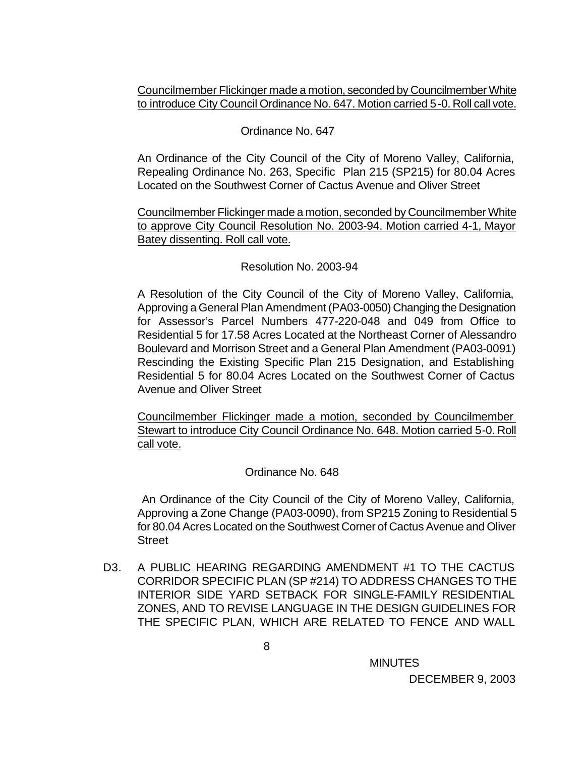Councilmember Flickinger made a motion, seconded by Councilmember White to introduce City Council Ordinance No. 647. Motion carried 5-0. Roll call vote.

# Ordinance No. 647

An Ordinance of the City Council of the City of Moreno Valley, California, Repealing Ordinance No. 263, Specific Plan 215 (SP215) for 80.04 Acres Located on the Southwest Corner of Cactus Avenue and Oliver Street

Councilmember Flickinger made a motion, seconded by Councilmember White to approve City Council Resolution No. 2003-94. Motion carried 4-1, Mayor Batey dissenting. Roll call vote.

# Resolution No. 2003-94

A Resolution of the City Council of the City of Moreno Valley, California, Approving a General Plan Amendment (PA03-0050) Changing the Designation for Assessor's Parcel Numbers 477-220-048 and 049 from Office to Residential 5 for 17.58 Acres Located at the Northeast Corner of Alessandro Boulevard and Morrison Street and a General Plan Amendment (PA03-0091) Rescinding the Existing Specific Plan 215 Designation, and Establishing Residential 5 for 80.04 Acres Located on the Southwest Corner of Cactus Avenue and Oliver Street

Councilmember Flickinger made a motion, seconded by Councilmember Stewart to introduce City Council Ordinance No. 648. Motion carried 5-0. Roll call vote.

# Ordinance No. 648

 An Ordinance of the City Council of the City of Moreno Valley, California, Approving a Zone Change (PA03-0090), from SP215 Zoning to Residential 5 for 80.04 Acres Located on the Southwest Corner of Cactus Avenue and Oliver Street

D3. A PUBLIC HEARING REGARDING AMENDMENT #1 TO THE CACTUS CORRIDOR SPECIFIC PLAN (SP #214) TO ADDRESS CHANGES TO THE INTERIOR SIDE YARD SETBACK FOR SINGLE-FAMILY RESIDENTIAL ZONES, AND TO REVISE LANGUAGE IN THE DESIGN GUIDELINES FOR THE SPECIFIC PLAN, WHICH ARE RELATED TO FENCE AND WALL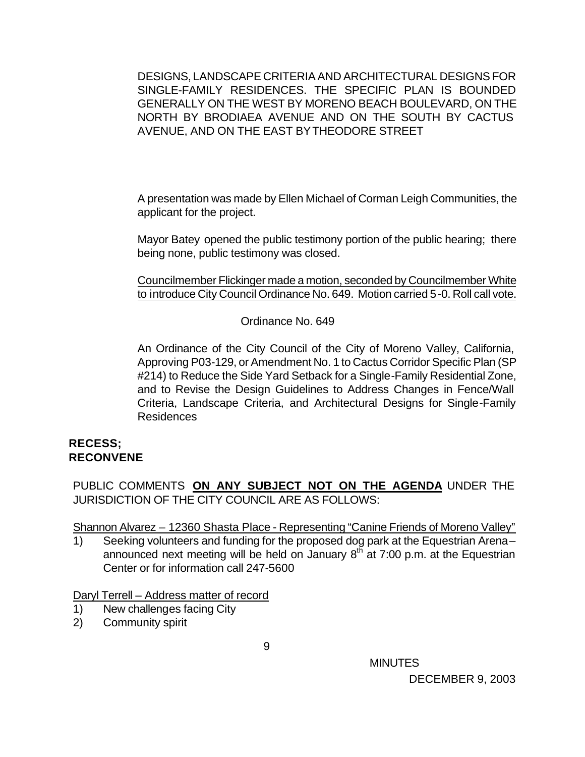DESIGNS, LANDSCAPE CRITERIA AND ARCHITECTURAL DESIGNS FOR SINGLE-FAMILY RESIDENCES. THE SPECIFIC PLAN IS BOUNDED GENERALLY ON THE WEST BY MORENO BEACH BOULEVARD, ON THE NORTH BY BRODIAEA AVENUE AND ON THE SOUTH BY CACTUS AVENUE, AND ON THE EAST BY THEODORE STREET

A presentation was made by Ellen Michael of Corman Leigh Communities, the applicant for the project.

Mayor Batey opened the public testimony portion of the public hearing; there being none, public testimony was closed.

Councilmember Flickinger made a motion, seconded by Councilmember White to introduce City Council Ordinance No. 649. Motion carried 5-0. Roll call vote.

Ordinance No. 649

An Ordinance of the City Council of the City of Moreno Valley, California, Approving P03-129, or Amendment No. 1 to Cactus Corridor Specific Plan (SP #214) to Reduce the Side Yard Setback for a Single-Family Residential Zone, and to Revise the Design Guidelines to Address Changes in Fence/Wall Criteria, Landscape Criteria, and Architectural Designs for Single-Family Residences

# **RECESS; RECONVENE**

PUBLIC COMMENTS **ON ANY SUBJECT NOT ON THE AGENDA** UNDER THE JURISDICTION OF THE CITY COUNCIL ARE AS FOLLOWS:

Shannon Alvarez – 12360 Shasta Place - Representing "Canine Friends of Moreno Valley"

1) Seeking volunteers and funding for the proposed dog park at the Equestrian Arena – announced next meeting will be held on January  $8<sup>th</sup>$  at 7:00 p.m. at the Equestrian Center or for information call 247-5600

Daryl Terrell – Address matter of record

- 1) New challenges facing City
- 2) Community spirit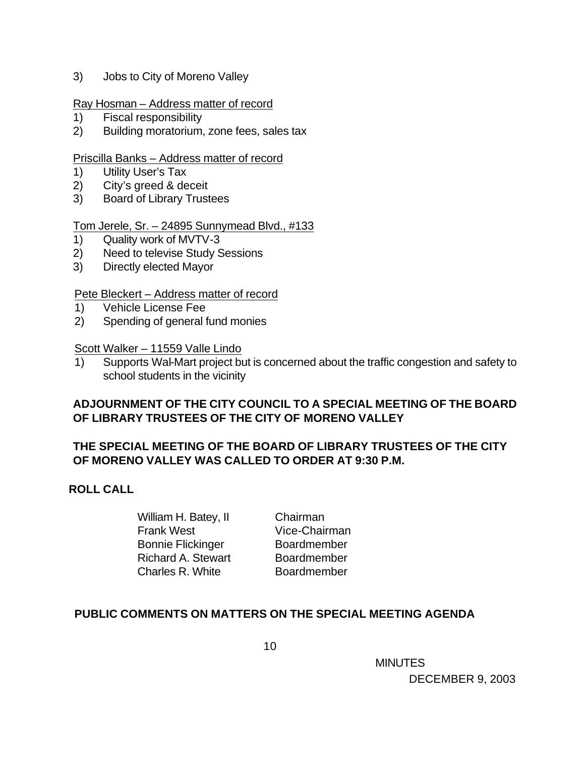3) Jobs to City of Moreno Valley

#### Ray Hosman – Address matter of record

- 1) Fiscal responsibility
- 2) Building moratorium, zone fees, sales tax

### Priscilla Banks – Address matter of record

- 1) Utility User's Tax
- 2) City's greed & deceit
- 3) Board of Library Trustees

#### Tom Jerele, Sr. – 24895 Sunnymead Blvd., #133

- 1) Quality work of MVTV-3
- 2) Need to televise Study Sessions
- 3) Directly elected Mayor

#### Pete Bleckert – Address matter of record

- 1) Vehicle License Fee
- 2) Spending of general fund monies

Scott Walker – 11559 Valle Lindo

1) Supports Wal-Mart project but is concerned about the traffic congestion and safety to school students in the vicinity

# **ADJOURNMENT OF THE CITY COUNCIL TO A SPECIAL MEETING OF THE BOARD OF LIBRARY TRUSTEES OF THE CITY OF MORENO VALLEY**

# **THE SPECIAL MEETING OF THE BOARD OF LIBRARY TRUSTEES OF THE CITY OF MORENO VALLEY WAS CALLED TO ORDER AT 9:30 P.M.**

# **ROLL CALL**

| William H. Batey, II      | Chairman      |
|---------------------------|---------------|
| <b>Frank West</b>         | Vice-Chairman |
| <b>Bonnie Flickinger</b>  | Boardmember   |
| <b>Richard A. Stewart</b> | Boardmember   |
| Charles R. White          | Boardmember   |

# **PUBLIC COMMENTS ON MATTERS ON THE SPECIAL MEETING AGENDA**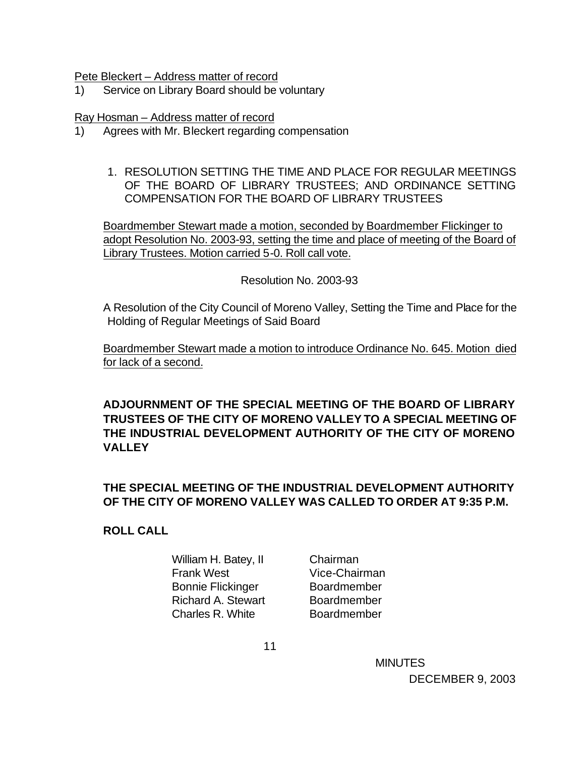Pete Bleckert – Address matter of record

1) Service on Library Board should be voluntary

Ray Hosman – Address matter of record

1) Agrees with Mr. Bleckert regarding compensation

1. RESOLUTION SETTING THE TIME AND PLACE FOR REGULAR MEETINGS OF THE BOARD OF LIBRARY TRUSTEES; AND ORDINANCE SETTING COMPENSATION FOR THE BOARD OF LIBRARY TRUSTEES

Boardmember Stewart made a motion, seconded by Boardmember Flickinger to adopt Resolution No. 2003-93, setting the time and place of meeting of the Board of Library Trustees. Motion carried 5-0. Roll call vote.

#### Resolution No. 2003-93

A Resolution of the City Council of Moreno Valley, Setting the Time and Place for the Holding of Regular Meetings of Said Board

Boardmember Stewart made a motion to introduce Ordinance No. 645. Motion died for lack of a second.

# **ADJOURNMENT OF THE SPECIAL MEETING OF THE BOARD OF LIBRARY TRUSTEES OF THE CITY OF MORENO VALLEY TO A SPECIAL MEETING OF THE INDUSTRIAL DEVELOPMENT AUTHORITY OF THE CITY OF MORENO VALLEY**

# **THE SPECIAL MEETING OF THE INDUSTRIAL DEVELOPMENT AUTHORITY OF THE CITY OF MORENO VALLEY WAS CALLED TO ORDER AT 9:35 P.M.**

#### **ROLL CALL**

William H. Batey, II Chairman Frank West Vice-Chairman Bonnie Flickinger Boardmember Richard A. Stewart Boardmember Charles R. White **Boardmember**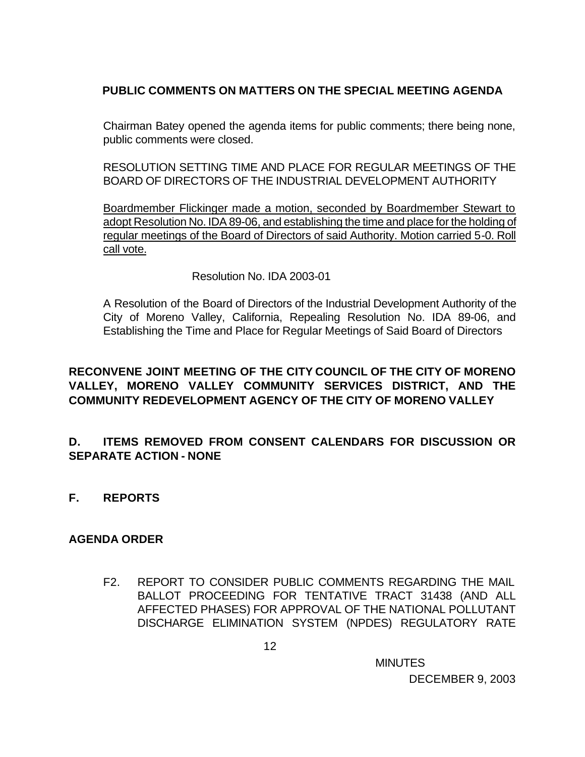# **PUBLIC COMMENTS ON MATTERS ON THE SPECIAL MEETING AGENDA**

Chairman Batey opened the agenda items for public comments; there being none, public comments were closed.

RESOLUTION SETTING TIME AND PLACE FOR REGULAR MEETINGS OF THE BOARD OF DIRECTORS OF THE INDUSTRIAL DEVELOPMENT AUTHORITY

Boardmember Flickinger made a motion, seconded by Boardmember Stewart to adopt Resolution No. IDA 89-06, and establishing the time and place for the holding of regular meetings of the Board of Directors of said Authority. Motion carried 5-0. Roll call vote.

#### Resolution No. IDA 2003-01

A Resolution of the Board of Directors of the Industrial Development Authority of the City of Moreno Valley, California, Repealing Resolution No. IDA 89-06, and Establishing the Time and Place for Regular Meetings of Said Board of Directors

# **RECONVENE JOINT MEETING OF THE CITY COUNCIL OF THE CITY OF MORENO VALLEY, MORENO VALLEY COMMUNITY SERVICES DISTRICT, AND THE COMMUNITY REDEVELOPMENT AGENCY OF THE CITY OF MORENO VALLEY**

**D. ITEMS REMOVED FROM CONSENT CALENDARS FOR DISCUSSION OR SEPARATE ACTION - NONE**

**F. REPORTS**

# **AGENDA ORDER**

F2. REPORT TO CONSIDER PUBLIC COMMENTS REGARDING THE MAIL BALLOT PROCEEDING FOR TENTATIVE TRACT 31438 (AND ALL AFFECTED PHASES) FOR APPROVAL OF THE NATIONAL POLLUTANT DISCHARGE ELIMINATION SYSTEM (NPDES) REGULATORY RATE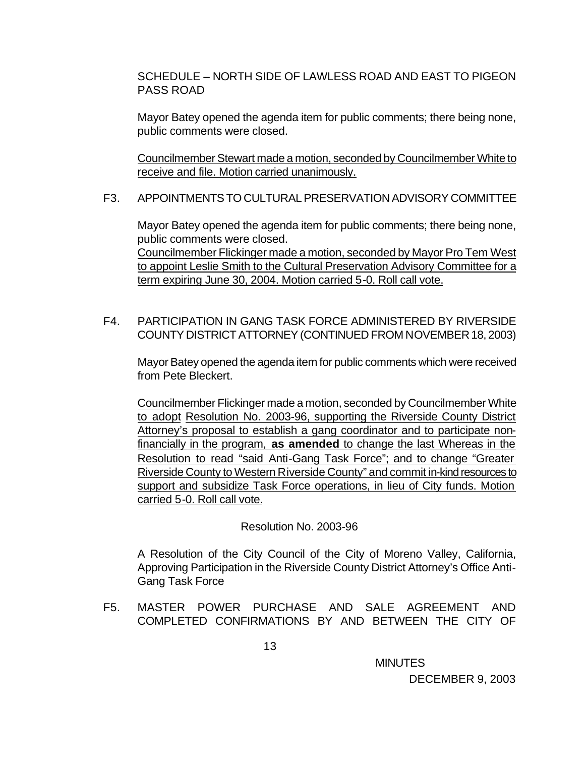SCHEDULE – NORTH SIDE OF LAWLESS ROAD AND EAST TO PIGEON PASS ROAD

Mayor Batey opened the agenda item for public comments; there being none, public comments were closed.

Councilmember Stewart made a motion, seconded by Councilmember White to receive and file. Motion carried unanimously.

# F3. APPOINTMENTS TO CULTURAL PRESERVATION ADVISORY COMMITTEE

Mayor Batey opened the agenda item for public comments; there being none, public comments were closed.

Councilmember Flickinger made a motion, seconded by Mayor Pro Tem West to appoint Leslie Smith to the Cultural Preservation Advisory Committee for a term expiring June 30, 2004. Motion carried 5-0. Roll call vote.

F4. PARTICIPATION IN GANG TASK FORCE ADMINISTERED BY RIVERSIDE COUNTY DISTRICT ATTORNEY (CONTINUED FROM NOVEMBER 18, 2003)

Mayor Batey opened the agenda item for public comments which were received from Pete Bleckert.

Councilmember Flickinger made a motion, seconded by Councilmember White to adopt Resolution No. 2003-96, supporting the Riverside County District Attorney's proposal to establish a gang coordinator and to participate nonfinancially in the program, **as amended** to change the last Whereas in the Resolution to read "said Anti-Gang Task Force"; and to change "Greater Riverside County to Western Riverside County" and commit in-kind resources to support and subsidize Task Force operations, in lieu of City funds. Motion carried 5-0. Roll call vote.

Resolution No. 2003-96

A Resolution of the City Council of the City of Moreno Valley, California, Approving Participation in the Riverside County District Attorney's Office Anti-Gang Task Force

F5. MASTER POWER PURCHASE AND SALE AGREEMENT AND COMPLETED CONFIRMATIONS BY AND BETWEEN THE CITY OF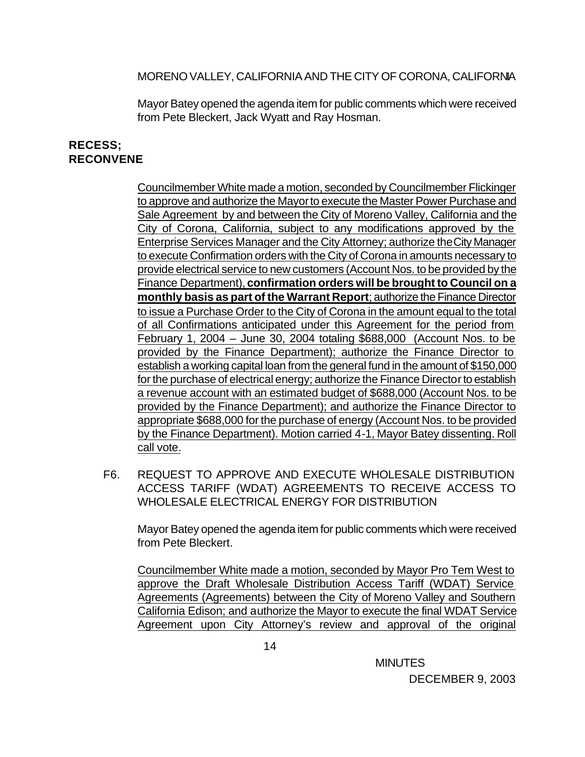### MORENO VALLEY, CALIFORNIA AND THE CITY OF CORONA, CALIFORNIA

Mayor Batey opened the agenda item for public comments which were received from Pete Bleckert, Jack Wyatt and Ray Hosman.

# **RECESS; RECONVENE**

Councilmember White made a motion, seconded by Councilmember Flickinger to approve and authorize the Mayor to execute the Master Power Purchase and Sale Agreement by and between the City of Moreno Valley, California and the City of Corona, California, subject to any modifications approved by the Enterprise Services Manager and the City Attorney; authorize the City Manager to execute Confirmation orders with the City of Corona in amounts necessary to provide electrical service to new customers (Account Nos. to be provided by the Finance Department), **confirmation orders will be brought to Council on a monthly basis as part of the Warrant Report**; authorize the Finance Director to issue a Purchase Order to the City of Corona in the amount equal to the total of all Confirmations anticipated under this Agreement for the period from February 1, 2004 – June 30, 2004 totaling \$688,000 (Account Nos. to be provided by the Finance Department); authorize the Finance Director to establish a working capital loan from the general fund in the amount of \$150,000 for the purchase of electrical energy; authorize the Finance Director to establish a revenue account with an estimated budget of \$688,000 (Account Nos. to be provided by the Finance Department); and authorize the Finance Director to appropriate \$688,000 for the purchase of energy (Account Nos. to be provided by the Finance Department). Motion carried 4-1, Mayor Batey dissenting. Roll call vote.

F6. REQUEST TO APPROVE AND EXECUTE WHOLESALE DISTRIBUTION ACCESS TARIFF (WDAT) AGREEMENTS TO RECEIVE ACCESS TO WHOLESALE ELECTRICAL ENERGY FOR DISTRIBUTION

Mayor Batey opened the agenda item for public comments which were received from Pete Bleckert.

Councilmember White made a motion, seconded by Mayor Pro Tem West to approve the Draft Wholesale Distribution Access Tariff (WDAT) Service Agreements (Agreements) between the City of Moreno Valley and Southern California Edison; and authorize the Mayor to execute the final WDAT Service Agreement upon City Attorney's review and approval of the original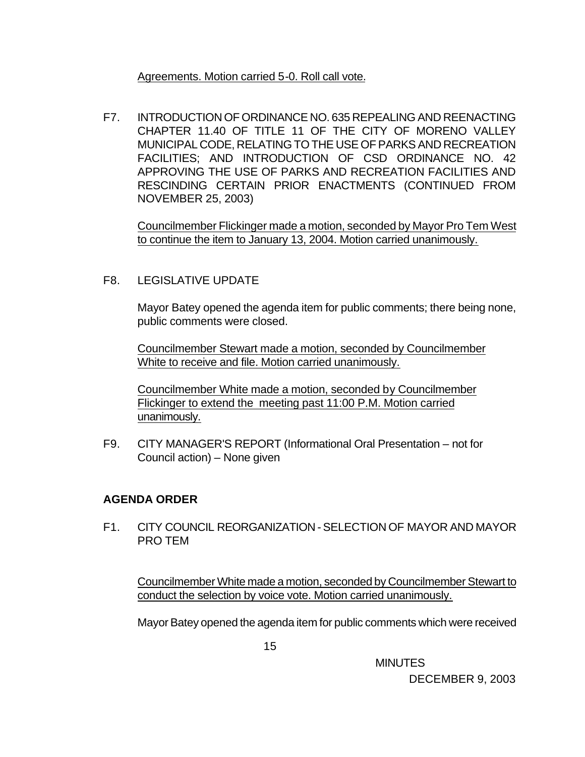### Agreements. Motion carried 5-0. Roll call vote.

F7. INTRODUCTION OF ORDINANCE NO. 635 REPEALING AND REENACTING CHAPTER 11.40 OF TITLE 11 OF THE CITY OF MORENO VALLEY MUNICIPAL CODE, RELATING TO THE USE OF PARKS AND RECREATION FACILITIES; AND INTRODUCTION OF CSD ORDINANCE NO. 42 APPROVING THE USE OF PARKS AND RECREATION FACILITIES AND RESCINDING CERTAIN PRIOR ENACTMENTS (CONTINUED FROM NOVEMBER 25, 2003)

Councilmember Flickinger made a motion, seconded by Mayor Pro Tem West to continue the item to January 13, 2004. Motion carried unanimously.

# F8. LEGISLATIVE UPDATE

Mayor Batey opened the agenda item for public comments; there being none, public comments were closed.

Councilmember Stewart made a motion, seconded by Councilmember White to receive and file. Motion carried unanimously.

Councilmember White made a motion, seconded by Councilmember Flickinger to extend the meeting past 11:00 P.M. Motion carried unanimously.

F9. CITY MANAGER'S REPORT (Informational Oral Presentation – not for Council action) – None given

# **AGENDA ORDER**

F1. CITY COUNCIL REORGANIZATION - SELECTION OF MAYOR AND MAYOR PRO TEM

Councilmember White made a motion, seconded by Councilmember Stewart to conduct the selection by voice vote. Motion carried unanimously.

Mayor Batey opened the agenda item for public comments which were received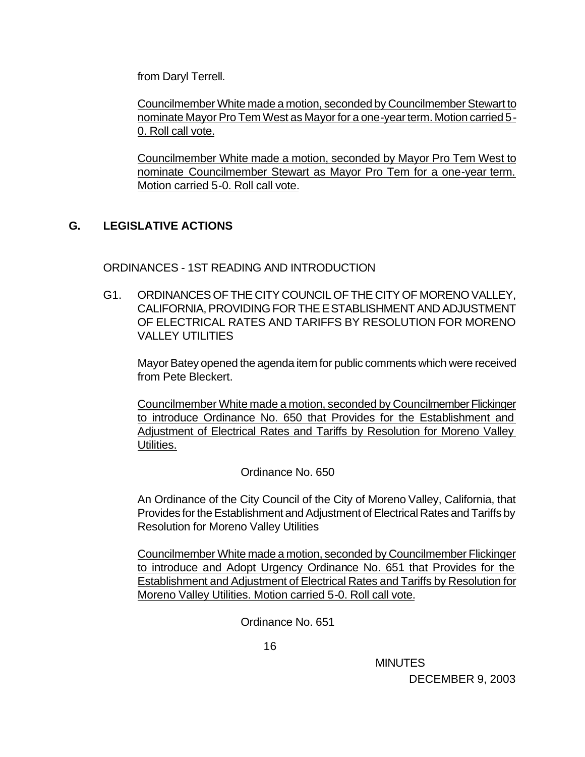from Daryl Terrell.

Councilmember White made a motion, seconded by Councilmember Stewart to nominate Mayor Pro Tem West as Mayor for a one-year term. Motion carried 5- 0. Roll call vote.

Councilmember White made a motion, seconded by Mayor Pro Tem West to nominate Councilmember Stewart as Mayor Pro Tem for a one-year term. Motion carried 5-0. Roll call vote.

# **G. LEGISLATIVE ACTIONS**

ORDINANCES - 1ST READING AND INTRODUCTION

G1. ORDINANCES OF THE CITY COUNCIL OF THE CITY OF MORENO VALLEY, CALIFORNIA, PROVIDING FOR THE ESTABLISHMENT AND ADJUSTMENT OF ELECTRICAL RATES AND TARIFFS BY RESOLUTION FOR MORENO VALLEY UTILITIES

Mayor Batey opened the agenda item for public comments which were received from Pete Bleckert.

Councilmember White made a motion, seconded by Councilmember Flickinger to introduce Ordinance No. 650 that Provides for the Establishment and Adjustment of Electrical Rates and Tariffs by Resolution for Moreno Valley Utilities.

Ordinance No. 650

An Ordinance of the City Council of the City of Moreno Valley, California, that Provides for the Establishment and Adjustment of Electrical Rates and Tariffs by Resolution for Moreno Valley Utilities

Councilmember White made a motion, seconded by Councilmember Flickinger to introduce and Adopt Urgency Ordinance No. 651 that Provides for the Establishment and Adjustment of Electrical Rates and Tariffs by Resolution for Moreno Valley Utilities. Motion carried 5-0. Roll call vote.

Ordinance No. 651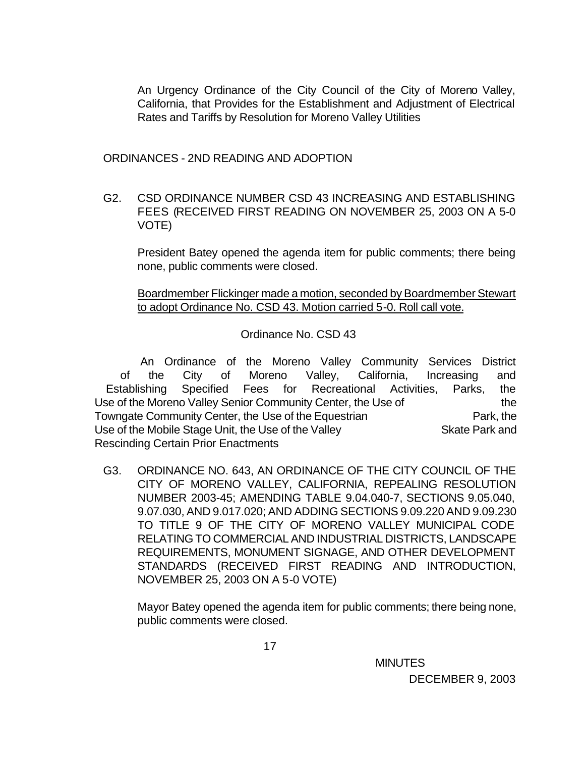An Urgency Ordinance of the City Council of the City of Moreno Valley, California, that Provides for the Establishment and Adjustment of Electrical Rates and Tariffs by Resolution for Moreno Valley Utilities

ORDINANCES - 2ND READING AND ADOPTION

G2. CSD ORDINANCE NUMBER CSD 43 INCREASING AND ESTABLISHING FEES (RECEIVED FIRST READING ON NOVEMBER 25, 2003 ON A 5-0 VOTE)

President Batey opened the agenda item for public comments; there being none, public comments were closed.

Boardmember Flickinger made a motion, seconded by Boardmember Stewart to adopt Ordinance No. CSD 43. Motion carried 5-0. Roll call vote.

Ordinance No. CSD 43

 An Ordinance of the Moreno Valley Community Services District of the City of Moreno Valley, California, Increasing and Establishing Specified Fees for Recreational Activities, Parks, the Use of the Moreno Valley Senior Community Center, the Use of the the the Towngate Community Center, the Use of the Equestrian Frank, the Use of the Mobile Stage Unit, the Use of the Valley Skate Park and Rescinding Certain Prior Enactments

G3. ORDINANCE NO. 643, AN ORDINANCE OF THE CITY COUNCIL OF THE CITY OF MORENO VALLEY, CALIFORNIA, REPEALING RESOLUTION NUMBER 2003-45; AMENDING TABLE 9.04.040-7, SECTIONS 9.05.040, 9.07.030, AND 9.017.020; AND ADDING SECTIONS 9.09.220 AND 9.09.230 TO TITLE 9 OF THE CITY OF MORENO VALLEY MUNICIPAL CODE RELATING TO COMMERCIAL AND INDUSTRIAL DISTRICTS, LANDSCAPE REQUIREMENTS, MONUMENT SIGNAGE, AND OTHER DEVELOPMENT STANDARDS (RECEIVED FIRST READING AND INTRODUCTION, NOVEMBER 25, 2003 ON A 5-0 VOTE)

Mayor Batey opened the agenda item for public comments; there being none, public comments were closed.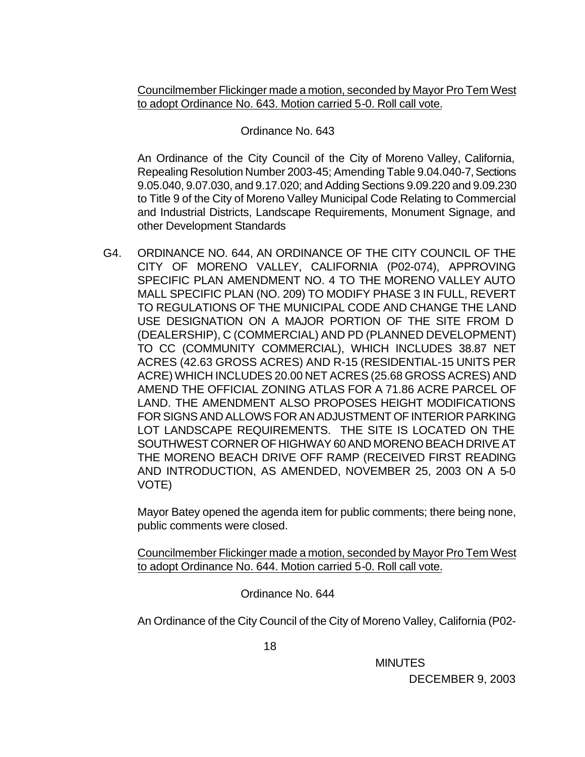Councilmember Flickinger made a motion, seconded by Mayor Pro Tem West to adopt Ordinance No. 643. Motion carried 5-0. Roll call vote.

# Ordinance No. 643

An Ordinance of the City Council of the City of Moreno Valley, California, Repealing Resolution Number 2003-45; Amending Table 9.04.040-7, Sections 9.05.040, 9.07.030, and 9.17.020; and Adding Sections 9.09.220 and 9.09.230 to Title 9 of the City of Moreno Valley Municipal Code Relating to Commercial and Industrial Districts, Landscape Requirements, Monument Signage, and other Development Standards

G4. ORDINANCE NO. 644, AN ORDINANCE OF THE CITY COUNCIL OF THE CITY OF MORENO VALLEY, CALIFORNIA (P02-074), APPROVING SPECIFIC PLAN AMENDMENT NO. 4 TO THE MORENO VALLEY AUTO MALL SPECIFIC PLAN (NO. 209) TO MODIFY PHASE 3 IN FULL, REVERT TO REGULATIONS OF THE MUNICIPAL CODE AND CHANGE THE LAND USE DESIGNATION ON A MAJOR PORTION OF THE SITE FROM D (DEALERSHIP), C (COMMERCIAL) AND PD (PLANNED DEVELOPMENT) TO CC (COMMUNITY COMMERCIAL), WHICH INCLUDES 38.87 NET ACRES (42.63 GROSS ACRES) AND R-15 (RESIDENTIAL-15 UNITS PER ACRE) WHICH INCLUDES 20.00 NET ACRES (25.68 GROSS ACRES) AND AMEND THE OFFICIAL ZONING ATLAS FOR A 71.86 ACRE PARCEL OF LAND. THE AMENDMENT ALSO PROPOSES HEIGHT MODIFICATIONS FOR SIGNS AND ALLOWS FOR AN ADJUSTMENT OF INTERIOR PARKING LOT LANDSCAPE REQUIREMENTS. THE SITE IS LOCATED ON THE SOUTHWEST CORNER OF HIGHWAY 60 AND MORENO BEACH DRIVE AT THE MORENO BEACH DRIVE OFF RAMP (RECEIVED FIRST READING AND INTRODUCTION, AS AMENDED, NOVEMBER 25, 2003 ON A 5-0 VOTE)

Mayor Batey opened the agenda item for public comments; there being none, public comments were closed.

Councilmember Flickinger made a motion, seconded by Mayor Pro Tem West to adopt Ordinance No. 644. Motion carried 5-0. Roll call vote.

Ordinance No. 644

An Ordinance of the City Council of the City of Moreno Valley, California (P02-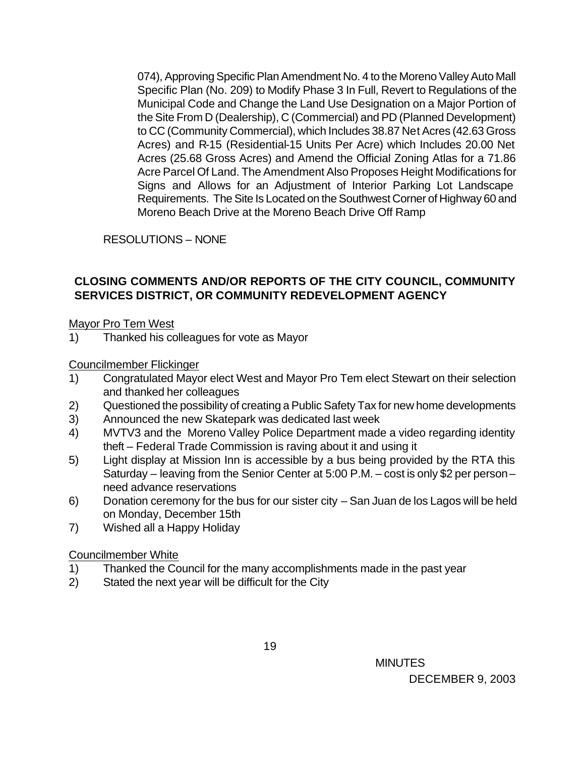074), Approving Specific Plan Amendment No. 4 to the Moreno Valley Auto Mall Specific Plan (No. 209) to Modify Phase 3 In Full, Revert to Regulations of the Municipal Code and Change the Land Use Designation on a Major Portion of the Site From D (Dealership), C (Commercial) and PD (Planned Development) to CC (Community Commercial), which Includes 38.87 Net Acres (42.63 Gross Acres) and R-15 (Residential-15 Units Per Acre) which Includes 20.00 Net Acres (25.68 Gross Acres) and Amend the Official Zoning Atlas for a 71.86 Acre Parcel Of Land. The Amendment Also Proposes Height Modifications for Signs and Allows for an Adjustment of Interior Parking Lot Landscape Requirements. The Site Is Located on the Southwest Corner of Highway 60 and Moreno Beach Drive at the Moreno Beach Drive Off Ramp

RESOLUTIONS – NONE

# **CLOSING COMMENTS AND/OR REPORTS OF THE CITY COUNCIL, COMMUNITY SERVICES DISTRICT, OR COMMUNITY REDEVELOPMENT AGENCY**

Mayor Pro Tem West

1) Thanked his colleagues for vote as Mayor

Councilmember Flickinger

- 1) Congratulated Mayor elect West and Mayor Pro Tem elect Stewart on their selection and thanked her colleagues
- 2) Questioned the possibility of creating a Public Safety Tax for new home developments
- 3) Announced the new Skatepark was dedicated last week
- 4) MVTV3 and the Moreno Valley Police Department made a video regarding identity theft – Federal Trade Commission is raving about it and using it
- 5) Light display at Mission Inn is accessible by a bus being provided by the RTA this Saturday – leaving from the Senior Center at 5:00 P.M. – cost is only \$2 per person – need advance reservations
- 6) Donation ceremony for the bus for our sister city San Juan de los Lagos will be held on Monday, December 15th
- 7) Wished all a Happy Holiday

Councilmember White

- 1) Thanked the Council for the many accomplishments made in the past year
- 2) Stated the next year will be difficult for the City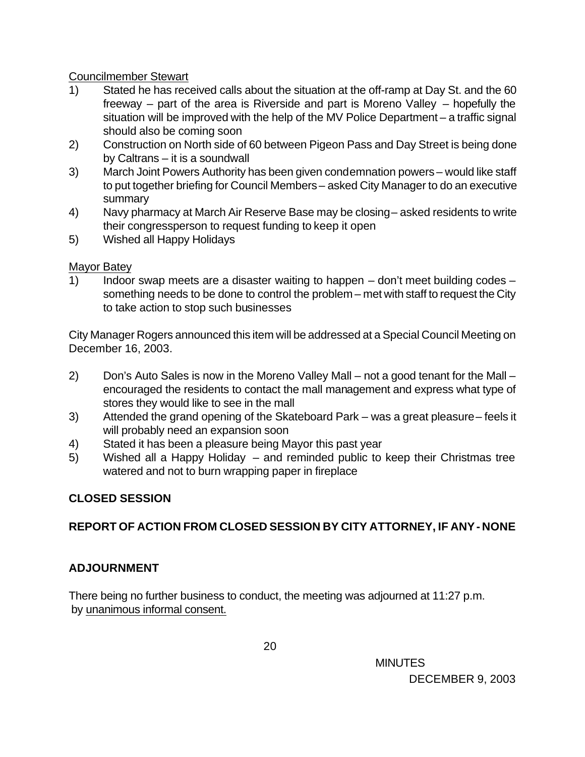Councilmember Stewart

- 1) Stated he has received calls about the situation at the off-ramp at Day St. and the 60 freeway – part of the area is Riverside and part is Moreno Valley – hopefully the situation will be improved with the help of the MV Police Department – a traffic signal should also be coming soon
- 2) Construction on North side of 60 between Pigeon Pass and Day Street is being done by Caltrans – it is a soundwall
- 3) March Joint Powers Authority has been given condemnation powers would like staff to put together briefing for Council Members – asked City Manager to do an executive summary
- 4) Navy pharmacy at March Air Reserve Base may be closing asked residents to write their congressperson to request funding to keep it open
- 5) Wished all Happy Holidays

# Mayor Batey

1) Indoor swap meets are a disaster waiting to happen – don't meet building codes – something needs to be done to control the problem – met with staff to request the City to take action to stop such businesses

City Manager Rogers announced this item will be addressed at a Special Council Meeting on December 16, 2003.

- 2) Don's Auto Sales is now in the Moreno Valley Mall not a good tenant for the Mall encouraged the residents to contact the mall management and express what type of stores they would like to see in the mall
- 3) Attended the grand opening of the Skateboard Park was a great pleasure feels it will probably need an expansion soon
- 4) Stated it has been a pleasure being Mayor this past year
- 5) Wished all a Happy Holiday and reminded public to keep their Christmas tree watered and not to burn wrapping paper in fireplace

# **CLOSED SESSION**

# **REPORT OF ACTION FROM CLOSED SESSION BY CITY ATTORNEY, IF ANY - NONE**

# **ADJOURNMENT**

There being no further business to conduct, the meeting was adjourned at 11:27 p.m. by unanimous informal consent.